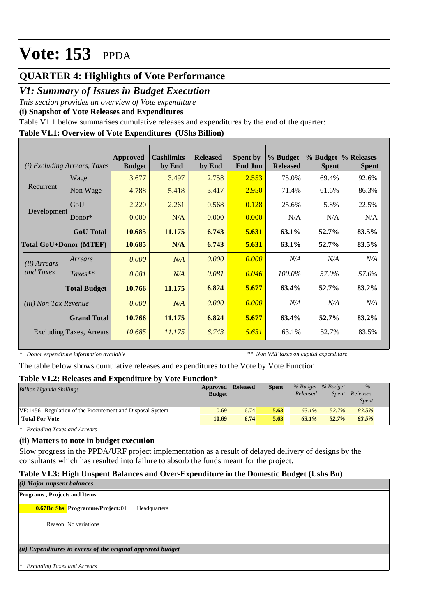### **QUARTER 4: Highlights of Vote Performance**

### *V1: Summary of Issues in Budget Execution*

*This section provides an overview of Vote expenditure* 

**(i) Snapshot of Vote Releases and Expenditures**

Table V1.1 below summarises cumulative releases and expenditures by the end of the quarter:

#### **Table V1.1: Overview of Vote Expenditures (UShs Billion)**

|                              | ( <i>i</i> ) Excluding Arrears, Taxes | Approved<br><b>Budget</b> | <b>Cashlimits</b><br>by End | <b>Released</b><br>by End | <b>Spent by</b><br><b>End Jun</b> | % Budget<br><b>Released</b> | <b>Spent</b> | % Budget % Releases<br><b>Spent</b> |
|------------------------------|---------------------------------------|---------------------------|-----------------------------|---------------------------|-----------------------------------|-----------------------------|--------------|-------------------------------------|
|                              | Wage                                  | 3.677                     | 3.497                       | 2.758                     | 2.553                             | 75.0%                       | 69.4%        | 92.6%                               |
| Recurrent                    | Non Wage                              | 4.788                     | 5.418                       | 3.417                     | 2.950                             | 71.4%                       | 61.6%        | 86.3%                               |
|                              | GoU                                   | 2.220                     | 2.261                       | 0.568                     | 0.128                             | 25.6%                       | 5.8%         | 22.5%                               |
| Development                  | Donor $*$                             | 0.000                     | N/A                         | 0.000                     | 0.000                             | N/A                         | N/A          | N/A                                 |
|                              | <b>GoU</b> Total                      | 10.685                    | 11.175                      | 6.743                     | 5.631                             | 63.1%                       | 52.7%        | 83.5%                               |
|                              | <b>Total GoU+Donor (MTEF)</b>         | 10.685                    | N/A                         | 6.743                     | 5.631                             | 63.1%                       | 52.7%        | 83.5%                               |
| ( <i>ii</i> ) Arrears        | Arrears                               | 0.000                     | N/A                         | 0.000                     | 0.000                             | N/A                         | N/A          | N/A                                 |
| and Taxes                    | $Taxes**$                             | 0.081                     | N/A                         | 0.081                     | 0.046                             | 100.0%                      | 57.0%        | 57.0%                               |
|                              | <b>Total Budget</b>                   | 10.766                    | 11.175                      | 6.824                     | 5.677                             | 63.4%                       | 52.7%        | 83.2%                               |
| <i>(iii)</i> Non Tax Revenue |                                       | 0.000                     | N/A                         | 0.000                     | 0.000                             | N/A                         | N/A          | N/A                                 |
|                              | <b>Grand Total</b>                    | 10.766                    | 11.175                      | 6.824                     | 5.677                             | 63.4%                       | 52.7%        | 83.2%                               |
|                              | <b>Excluding Taxes, Arrears</b>       | 10.685                    | 11.175                      | 6.743                     | 5.631                             | 63.1%                       | 52.7%        | 83.5%                               |

*\* Donor expenditure information available*

*\*\* Non VAT taxes on capital expenditure*

The table below shows cumulative releases and expenditures to the Vote by Vote Function :

#### **Table V1.2: Releases and Expenditure by Vote Function\***

| <b>Billion Uganda Shillings</b>                           | Approved<br><b>Budget</b> | <b>Released</b> | <b>Spent</b> | Released | % Budget % Budget<br>Spent | $\%$<br>Releases<br><i>Spent</i> |
|-----------------------------------------------------------|---------------------------|-----------------|--------------|----------|----------------------------|----------------------------------|
| VF:1456 Regulation of the Procurement and Disposal System | 10.69                     | 6.74            | 5.63         | $63.1\%$ | 52.7%                      | 83.5%                            |
| <b>Total For Vote</b>                                     | 10.69                     | 6.74            | 5.63         | $63.1\%$ | 52.7%                      | 83.5%                            |

*\* Excluding Taxes and Arrears*

#### **(ii) Matters to note in budget execution**

Slow progress in the PPDA/URF project implementation as a result of delayed delivery of designs by the consultants which has resulted into failure to absorb the funds meant for the project.

#### **Table V1.3: High Unspent Balances and Over-Expenditure in the Domestic Budget (Ushs Bn)**

# *(ii) Expenditures in excess of the original approved budget (i) Major unpsent balances \* Excluding Taxes and Arrears* **0.67Bn Shs Programme/Project:** 01 Headquarters Reason: No variations **Programs , Projects and Items**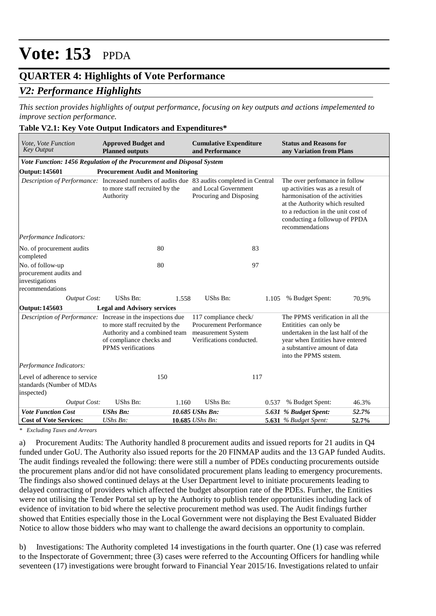### **QUARTER 4: Highlights of Vote Performance**

### *V2: Performance Highlights*

*This section provides highlights of output performance, focusing on key outputs and actions impelemented to improve section performance.*

#### **Table V2.1: Key Vote Output Indicators and Expenditures\***

| Vote, Vote Function<br><b>Key Output</b>                                                   | <b>Approved Budget and</b><br><b>Planned outputs</b>                                                                     |       | <b>Cumulative Expenditure</b><br>and Performance                                                          |       | <b>Status and Reasons for</b><br>any Variation from Plans                                                                                                                                                                         |       |
|--------------------------------------------------------------------------------------------|--------------------------------------------------------------------------------------------------------------------------|-------|-----------------------------------------------------------------------------------------------------------|-------|-----------------------------------------------------------------------------------------------------------------------------------------------------------------------------------------------------------------------------------|-------|
| Vote Function: 1456 Regulation of the Procurement and Disposal System                      |                                                                                                                          |       |                                                                                                           |       |                                                                                                                                                                                                                                   |       |
| <b>Output: 145601</b>                                                                      | <b>Procurement Audit and Monitoring</b>                                                                                  |       |                                                                                                           |       |                                                                                                                                                                                                                                   |       |
| Description of Performance: Increased numbers of audits due 83 audits completed in Central | to more staff recruited by the<br>Authority                                                                              |       | and Local Government<br>Procuring and Disposing                                                           |       | The over perfomance in follow<br>up activities was as a result of<br>harmonisation of the activities<br>at the Authority which resulted<br>to a reduction in the unit cost of<br>conducting a followup of PPDA<br>recommendations |       |
| Performance Indicators:                                                                    |                                                                                                                          |       |                                                                                                           |       |                                                                                                                                                                                                                                   |       |
| No. of procurement audits<br>completed                                                     | 80                                                                                                                       |       | 83                                                                                                        |       |                                                                                                                                                                                                                                   |       |
| No. of follow-up<br>procurement audits and<br>investigations<br>recommendations            | 80                                                                                                                       |       | 97                                                                                                        |       |                                                                                                                                                                                                                                   |       |
| <b>Output Cost:</b>                                                                        | UShs Bn:                                                                                                                 | 1.558 | UShs Bn:                                                                                                  |       | 1.105 % Budget Spent:                                                                                                                                                                                                             | 70.9% |
| Output: 145603                                                                             | <b>Legal and Advisory services</b>                                                                                       |       |                                                                                                           |       |                                                                                                                                                                                                                                   |       |
| Description of Performance: Increase in the inspections due                                | to more staff recruited by the<br>Authority and a combined team<br>of compliance checks and<br><b>PPMS</b> verifications |       | 117 compliance check/<br><b>Procurement Performance</b><br>measurement System<br>Verifications conducted. |       | The PPMS verification in all the<br>Entitities can only be<br>undertaken in the last half of the<br>year when Entities have entered<br>a substantive amount of data<br>into the PPMS ststem.                                      |       |
| Performance Indicators:                                                                    |                                                                                                                          |       |                                                                                                           |       |                                                                                                                                                                                                                                   |       |
| Level of adherence to service<br>standards (Number of MDAs<br>inspected)                   | 150                                                                                                                      |       | 117                                                                                                       |       |                                                                                                                                                                                                                                   |       |
| <b>Output Cost:</b>                                                                        | UShs Bn:                                                                                                                 | 1.160 | UShs Bn:                                                                                                  | 0.537 | % Budget Spent:                                                                                                                                                                                                                   | 46.3% |
| <b>Vote Function Cost</b>                                                                  | <b>UShs Bn:</b>                                                                                                          |       | 10.685 UShs Bn:                                                                                           |       | 5.631 % Budget Spent:                                                                                                                                                                                                             | 52.7% |
| <b>Cost of Vote Services:</b>                                                              | $UShs Bn$ :                                                                                                              |       | 10.685 UShs Bn:                                                                                           |       | <b>5.631</b> % Budget Spent:                                                                                                                                                                                                      | 52.7% |

*\* Excluding Taxes and Arrears*

a) Procurement Audits: The Authority handled 8 procurement audits and issued reports for 21 audits in Q4 funded under GoU. The Authority also issued reports for the 20 FINMAP audits and the 13 GAP funded Audits. The audit findings revealed the following: there were still a number of PDEs conducting procurements outside the procurement plans and/or did not have consolidated procurement plans leading to emergency procurements. The findings also showed continued delays at the User Department level to initiate procurements leading to delayed contracting of providers which affected the budget absorption rate of the PDEs. Further, the Entities were not utilising the Tender Portal set up by the Authority to publish tender opportunities including lack of evidence of invitation to bid where the selective procurement method was used. The Audit findings further showed that Entities especially those in the Local Government were not displaying the Best Evaluated Bidder Notice to allow those bidders who may want to challenge the award decisions an opportunity to complain.

b) Investigations: The Authority completed 14 investigations in the fourth quarter. One (1) case was referred to the Inspectorate of Government; three (3) cases were referred to the Accounting Officers for handling while seventeen (17) investigations were brought forward to Financial Year 2015/16. Investigations related to unfair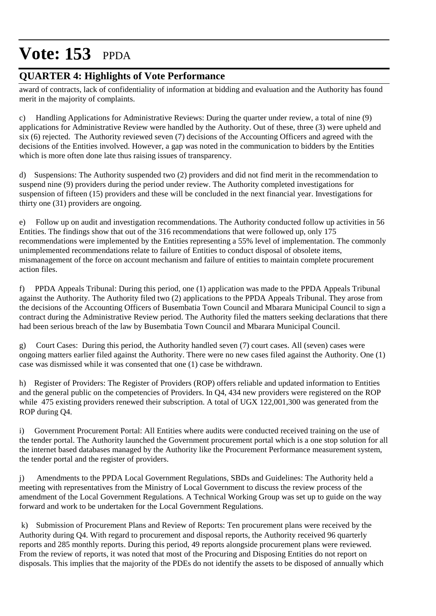### **QUARTER 4: Highlights of Vote Performance**

award of contracts, lack of confidentiality of information at bidding and evaluation and the Authority has found merit in the majority of complaints.

c) Handling Applications for Administrative Reviews: During the quarter under review, a total of nine (9) applications for Administrative Review were handled by the Authority. Out of these, three (3) were upheld and  $\sin(6)$  rejected. The Authority reviewed seven (7) decisions of the Accounting Officers and agreed with the decisions of the Entities involved. However, a gap was noted in the communication to bidders by the Entities which is more often done late thus raising issues of transparency.

d) Suspensions: The Authority suspended two (2) providers and did not find merit in the recommendation to suspend nine (9) providers during the period under review. The Authority completed investigations for suspension of fifteen (15) providers and these will be concluded in the next financial year. Investigations for thirty one (31) providers are ongoing.

e) Follow up on audit and investigation recommendations. The Authority conducted follow up activities in 56 Entities. The findings show that out of the 316 recommendations that were followed up, only 175 recommendations were implemented by the Entities representing a 55% level of implementation. The commonly unimplemented recommendations relate to failure of Entities to conduct disposal of obsolete items, mismanagement of the force on account mechanism and failure of entities to maintain complete procurement action files.

f) PPDA Appeals Tribunal: During this period, one (1) application was made to the PPDA Appeals Tribunal against the Authority. The Authority filed two (2) applications to the PPDA Appeals Tribunal. They arose from the decisions of the Accounting Officers of Busembatia Town Council and Mbarara Municipal Council to sign a contract during the Administrative Review period. The Authority filed the matters seeking declarations that there had been serious breach of the law by Busembatia Town Council and Mbarara Municipal Council.

g) Court Cases: During this period, the Authority handled seven (7) court cases. All (seven) cases were ongoing matters earlier filed against the Authority. There were no new cases filed against the Authority. One (1) case was dismissed while it was consented that one (1) case be withdrawn.

h) Register of Providers: The Register of Providers (ROP) offers reliable and updated information to Entities and the general public on the competencies of Providers. In Q4, 434 new providers were registered on the ROP while 475 existing providers renewed their subscription. A total of UGX 122,001,300 was generated from the ROP during Q4.

i) Government Procurement Portal: All Entities where audits were conducted received training on the use of the tender portal. The Authority launched the Government procurement portal which is a one stop solution for all the internet based databases managed by the Authority like the Procurement Performance measurement system, the tender portal and the register of providers.

j) Amendments to the PPDA Local Government Regulations, SBDs and Guidelines: The Authority held a meeting with representatives from the Ministry of Local Government to discuss the review process of the amendment of the Local Government Regulations. A Technical Working Group was set up to guide on the way forward and work to be undertaken for the Local Government Regulations.

Submission of Procurement Plans and Review of Reports: Ten procurement plans were received by the Authority during Q4. With regard to procurement and disposal reports, the Authority received 96 quarterly reports and 285 monthly reports. During this period, 49 reports alongside procurement plans were reviewed. From the review of reports, it was noted that most of the Procuring and Disposing Entities do not report on disposals. This implies that the majority of the PDEs do not identify the assets to be disposed of annually which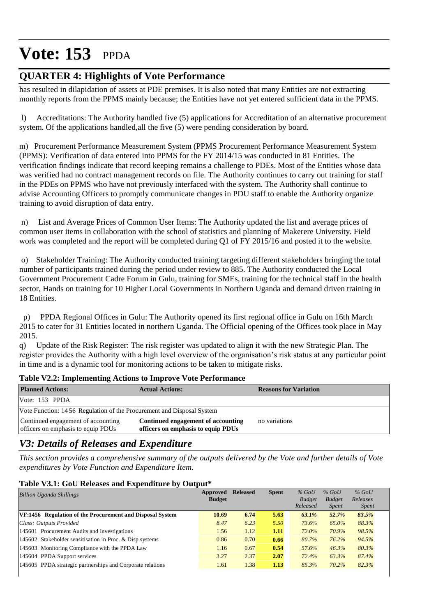### **QUARTER 4: Highlights of Vote Performance**

has resulted in dilapidation of assets at PDE premises. It is also noted that many Entities are not extracting monthly reports from the PPMS mainly because; the Entities have not yet entered sufficient data in the PPMS.

 l) Accreditations: The Authority handled five (5) applications for Accreditation of an alternative procurement system. Of the applications handled,all the five (5) were pending consideration by board.

m) Procurement Performance Measurement System (PPMS Procurement Performance Measurement System (PPMS): Verification of data entered into PPMS for the FY 2014/15 was conducted in 81 Entities. The verification findings indicate that record keeping remains a challenge to PDEs. Most of the Entities whose data was verified had no contract management records on file. The Authority continues to carry out training for staff in the PDEs on PPMS who have not previously interfaced with the system. The Authority shall continue to advise Accounting Officers to promptly communicate changes in PDU staff to enable the Authority organize training to avoid disruption of data entry.

 n) List and Average Prices of Common User Items: The Authority updated the list and average prices of common user items in collaboration with the school of statistics and planning of Makerere University. Field work was completed and the report will be completed during Q1 of FY 2015/16 and posted it to the website.

 o) Stakeholder Training: The Authority conducted training targeting different stakeholders bringing the total number of participants trained during the period under review to 885. The Authority conducted the Local Government Procurement Cadre Forum in Gulu, training for SMEs, training for the technical staff in the health sector, Hands on training for 10 Higher Local Governments in Northern Uganda and demand driven training in 18 Entities.

 p) PPDA Regional Offices in Gulu: The Authority opened its first regional office in Gulu on 16th March 2015 to cater for 31 Entities located in northern Uganda. The Official opening of the Offices took place in May 2015.

q) Update of the Risk Register: The risk register was updated to align it with the new Strategic Plan. The register provides the Authority with a high level overview of the organisation's risk status at any particular point in time and is a dynamic tool for monitoring actions to be taken to mitigate risks.

| <b>Planned Actions:</b>                                                  | <b>Actual Actions:</b>                                                   | <b>Reasons for Variation</b> |
|--------------------------------------------------------------------------|--------------------------------------------------------------------------|------------------------------|
| Vote: $153$ PPDA                                                         |                                                                          |                              |
| Vote Function: 14.56 Regulation of the Procurement and Disposal System   |                                                                          |                              |
| Continued engagement of accounting<br>officers on emphasis to equip PDUs | Continued engagement of accounting<br>officers on emphasis to equip PDUs | no variations                |

#### **Table V2.2: Implementing Actions to Improve Vote Performance**

### *V3: Details of Releases and Expenditure*

*This section provides a comprehensive summary of the outputs delivered by the Vote and further details of Vote expenditures by Vote Function and Expenditure Item.*

#### **Table V3.1: GoU Releases and Expenditure by Output\***

| <b>Billion Uganda Shillings</b>                            | Approved<br><b>Budget</b> | <b>Released</b> | <b>Spent</b> | $%$ GoU<br><b>Budget</b><br>Released | $%$ GoU<br><b>Budget</b><br><i>Spent</i> | $%$ GoU<br>Releases<br><i>Spent</i> |
|------------------------------------------------------------|---------------------------|-----------------|--------------|--------------------------------------|------------------------------------------|-------------------------------------|
| VF:1456 Regulation of the Procurement and Disposal System  | 10.69                     | 6.74            | 5.63         | 63.1%                                | 52.7%                                    | 83.5%                               |
| Class: Outputs Provided                                    | 8.47                      | 6.23            | 5.50         | 73.6%                                | 65.0%                                    | 88.3%                               |
| 145601 Procurement Audits and Investigations               | 1.56                      | 1.12            | 1.11         | 72.0%                                | 70.9%                                    | 98.5%                               |
| 145602 Stakeholder sensitisation in Proc. & Disp systems   | 0.86                      | 0.70            | 0.66         | 80.7%                                | 76.2%                                    | 94.5%                               |
| 145603 Monitoring Compliance with the PPDA Law             | 1.16                      | 0.67            | 0.54         | 57.6%                                | 46.3%                                    | 80.3%                               |
| 145604 PPDA Support services                               | 3.27                      | 2.37            | 2.07         | 72.4%                                | 63.3%                                    | 87.4%                               |
| 145605 PPDA strategic partnerships and Corporate relations | 1.61                      | 1.38            | 1.13         | 85.3%                                | 70.2%                                    | 82.3%                               |
|                                                            |                           |                 |              |                                      |                                          |                                     |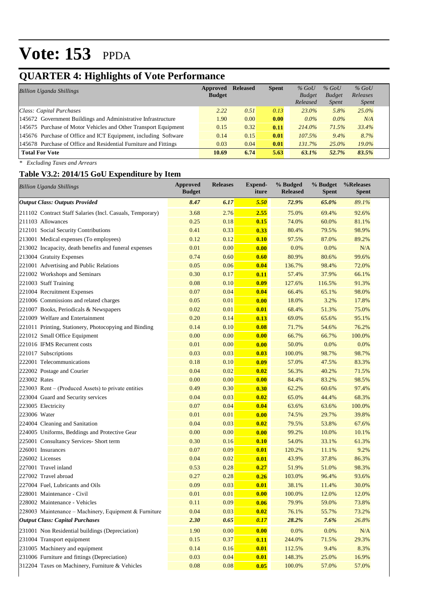## **QUARTER 4: Highlights of Vote Performance**

| <b>Billion Uganda Shillings</b>                                  | Approved<br><b>Budget</b> | <b>Released</b> | <b>Spent</b> | $%$ GoU<br><b>Budget</b><br>Released | $%$ GoU<br><b>Budget</b><br><i>Spent</i> | $%$ GoU<br>Releases<br><i>Spent</i> |  |
|------------------------------------------------------------------|---------------------------|-----------------|--------------|--------------------------------------|------------------------------------------|-------------------------------------|--|
| Class: Capital Purchases                                         | 2.22                      | 0.51            | 0.13         | 23.0%                                | 5.8%                                     | 25.0%                               |  |
| 145672 Government Buildings and Administrative Infrastructure    | 1.90                      | 0.00            | 0.00         | $0.0\%$                              | $0.0\%$                                  | N/A                                 |  |
| 145675 Purchase of Motor Vehicles and Other Transport Equipment  | 0.15                      | 0.32            | 0.11         | 214.0%                               | 71.5%                                    | 33.4%                               |  |
| 145676 Purchase of Office and ICT Equipment, including Software  | 0.14                      | 0.15            | 0.01         | 107.5%                               | 9.4%                                     | 8.7%                                |  |
| 145678 Purchase of Office and Residential Furniture and Fittings | 0.03                      | 0.04            | 0.01         | 131.7%                               | $25.0\%$                                 | 19.0%                               |  |
| <b>Total For Vote</b>                                            | 10.69                     | 6.74            | 5.63         | $63.1\%$                             | 52.7%                                    | 83.5%                               |  |

*\* Excluding Taxes and Arrears*

#### **Table V3.2: 2014/15 GoU Expenditure by Item**

| <b>Billion Uganda Shillings</b>                           | <b>Approved</b><br><b>Budget</b> | <b>Releases</b> | Expend-<br>iture | % Budged<br><b>Released</b> | % Budget<br><b>Spent</b> | %Releases<br>Spent |
|-----------------------------------------------------------|----------------------------------|-----------------|------------------|-----------------------------|--------------------------|--------------------|
| <b>Output Class: Outputs Provided</b>                     | 8.47                             | 6.17            | 5.50             | 72.9%                       | 65.0%                    | 89.1%              |
| 211102 Contract Staff Salaries (Incl. Casuals, Temporary) | 3.68                             | 2.76            | 2.55             | 75.0%                       | 69.4%                    | 92.6%              |
| 211103 Allowances                                         | 0.25                             | 0.18            | 0.15             | 74.0%                       | 60.0%                    | 81.1%              |
| 212101 Social Security Contributions                      | 0.41                             | 0.33            | 0.33             | 80.4%                       | 79.5%                    | 98.9%              |
| 213001 Medical expenses (To employees)                    | 0.12                             | 0.12            | 0.10             | 97.5%                       | 87.0%                    | 89.2%              |
| 213002 Incapacity, death benefits and funeral expenses    | 0.01                             | 0.00            | 0.00             | 0.0%                        | 0.0%                     | N/A                |
| 213004 Gratuity Expenses                                  | 0.74                             | 0.60            | 0.60             | 80.9%                       | 80.6%                    | 99.6%              |
| 221001 Advertising and Public Relations                   | 0.05                             | 0.06            | 0.04             | 136.7%                      | 98.4%                    | 72.0%              |
| 221002 Workshops and Seminars                             | 0.30                             | 0.17            | 0.11             | 57.4%                       | 37.9%                    | 66.1%              |
| 221003 Staff Training                                     | 0.08                             | 0.10            | 0.09             | 127.6%                      | 116.5%                   | 91.3%              |
| 221004 Recruitment Expenses                               | 0.07                             | 0.04            | 0.04             | 66.4%                       | 65.1%                    | 98.0%              |
| 221006 Commissions and related charges                    | 0.05                             | 0.01            | 0.00             | 18.0%                       | 3.2%                     | 17.8%              |
| 221007 Books, Periodicals & Newspapers                    | 0.02                             | 0.01            | 0.01             | 68.4%                       | 51.3%                    | 75.0%              |
| 221009 Welfare and Entertainment                          | 0.20                             | 0.14            | 0.13             | 69.0%                       | 65.6%                    | 95.1%              |
| 221011 Printing, Stationery, Photocopying and Binding     | 0.14                             | 0.10            | 0.08             | 71.7%                       | 54.6%                    | 76.2%              |
| 221012 Small Office Equipment                             | 0.00                             | 0.00            | 0.00             | 66.7%                       | 66.7%                    | 100.0%             |
| 221016 IFMS Recurrent costs                               | 0.01                             | 0.00            | 0.00             | 50.0%                       | 0.0%                     | 0.0%               |
| 221017 Subscriptions                                      | 0.03                             | 0.03            | 0.03             | 100.0%                      | 98.7%                    | 98.7%              |
| 222001 Telecommunications                                 | 0.18                             | 0.10            | 0.09             | 57.0%                       | 47.5%                    | 83.3%              |
| 222002 Postage and Courier                                | 0.04                             | 0.02            | 0.02             | 56.3%                       | 40.2%                    | 71.5%              |
| 223002 Rates                                              | 0.00                             | 0.00            | 0.00             | 84.4%                       | 83.2%                    | 98.5%              |
| 223003 Rent – (Produced Assets) to private entities       | 0.49                             | 0.30            | 0.30             | 62.2%                       | 60.6%                    | 97.4%              |
| 223004 Guard and Security services                        | 0.04                             | 0.03            | 0.02             | 65.0%                       | 44.4%                    | 68.3%              |
| 223005 Electricity                                        | 0.07                             | 0.04            | 0.04             | 63.6%                       | 63.6%                    | 100.0%             |
| 223006 Water                                              | 0.01                             | 0.01            | 0.00             | 74.5%                       | 29.7%                    | 39.8%              |
| 224004 Cleaning and Sanitation                            | 0.04                             | 0.03            | 0.02             | 79.5%                       | 53.8%                    | 67.6%              |
| 224005 Uniforms, Beddings and Protective Gear             | 0.00                             | 0.00            | 0.00             | 99.2%                       | 10.0%                    | 10.1%              |
| 225001 Consultancy Services- Short term                   | 0.30                             | 0.16            | 0.10             | 54.0%                       | 33.1%                    | 61.3%              |
| 226001 Insurances                                         | 0.07                             | 0.09            | 0.01             | 120.2%                      | 11.1%                    | 9.2%               |
| 226002 Licenses                                           | 0.04                             | 0.02            | 0.01             | 43.9%                       | 37.8%                    | 86.3%              |
| 227001 Travel inland                                      | 0.53                             | 0.28            | 0.27             | 51.9%                       | 51.0%                    | 98.3%              |
| 227002 Travel abroad                                      | 0.27                             | 0.28            | 0.26             | 103.0%                      | 96.4%                    | 93.6%              |
| 227004 Fuel, Lubricants and Oils                          | 0.09                             | 0.03            | 0.01             | 38.1%                       | 11.4%                    | 30.0%              |
| 228001 Maintenance - Civil                                | 0.01                             | 0.01            | 0.00             | 100.0%                      | 12.0%                    | 12.0%              |
| 228002 Maintenance - Vehicles                             | 0.11                             | 0.09            | 0.06             | 79.9%                       | 59.0%                    | 73.8%              |
| 228003 Maintenance – Machinery, Equipment & Furniture     | 0.04                             | 0.03            | 0.02             | 76.1%                       | 55.7%                    | 73.2%              |
| <b>Output Class: Capital Purchases</b>                    | 2.30                             | 0.65            | 0.17             | 28.2%                       | 7.6%                     | 26.8%              |
| 231001 Non Residential buildings (Depreciation)           | 1.90                             | 0.00            | 0.00             | 0.0%                        | $0.0\%$                  | N/A                |
| 231004 Transport equipment                                | 0.15                             | 0.37            | 0.11             | 244.0%                      | 71.5%                    | 29.3%              |
| 231005 Machinery and equipment                            | 0.14                             | 0.16            | 0.01             | 112.5%                      | 9.4%                     | 8.3%               |
| 231006 Furniture and fittings (Depreciation)              | 0.03                             | 0.04            | 0.01             | 148.3%                      | 25.0%                    | 16.9%              |
| 312204 Taxes on Machinery, Furniture & Vehicles           | $0.08\,$                         | $0.08\,$        | 0.05             | 100.0%                      | 57.0%                    | 57.0%              |
|                                                           |                                  |                 |                  |                             |                          |                    |